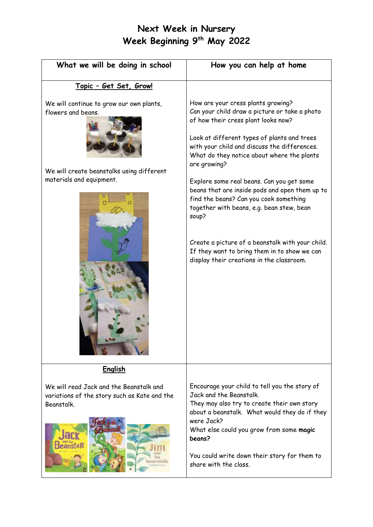# **Next Week in Nursery Week Beginning 9 th May 2022**

| What we will be doing in school                                                                                                         | How you can help at home                                                                                                                                                                                                                                                                                                                                                                                                                                                                                                                                                                                                                |
|-----------------------------------------------------------------------------------------------------------------------------------------|-----------------------------------------------------------------------------------------------------------------------------------------------------------------------------------------------------------------------------------------------------------------------------------------------------------------------------------------------------------------------------------------------------------------------------------------------------------------------------------------------------------------------------------------------------------------------------------------------------------------------------------------|
| <u> Topic - Get Set, Grow!</u>                                                                                                          |                                                                                                                                                                                                                                                                                                                                                                                                                                                                                                                                                                                                                                         |
| We will continue to grow our own plants,<br>flowers and beans.<br>We will create beanstalks using different<br>materials and equipment. | How are your cress plants growing?<br>Can your child draw a picture or take a photo<br>of how their cress plant looks now?<br>Look at different types of plants and trees<br>with your child and discuss the differences.<br>What do they notice about where the plants<br>are growing?<br>Explore some real beans. Can you get some<br>beans that are inside pods and open them up to<br>find the beans? Can you cook something<br>together with beans, e.g. bean stew, bean<br>soup?<br>Create a picture of a beanstalk with your child.<br>If they want to bring them in to show we can<br>display their creations in the classroom. |
| <b>English</b>                                                                                                                          |                                                                                                                                                                                                                                                                                                                                                                                                                                                                                                                                                                                                                                         |
| We will read Jack and the Beanstalk and<br>variations of the story such as Kate and the<br>Beanstalk.                                   | Encourage your child to tell you the story of<br>Jack and the Beanstalk.<br>They may also try to create their own story<br>about a beanstalk. What would they do if they<br>were Jack?<br>What else could you grow from some magic<br>beans?                                                                                                                                                                                                                                                                                                                                                                                            |
|                                                                                                                                         | You could write down their story for them to<br>share with the class.                                                                                                                                                                                                                                                                                                                                                                                                                                                                                                                                                                   |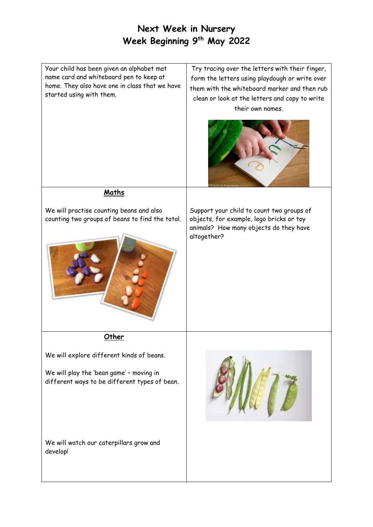# **Next Week in Nursery Week Beginning 9 th May 2022**

Your child has been given an alphabet mat name card and whiteboard pen to keep at home. They also have one in class that we have started using with them.

Try tracing over the letters with their finger, form the letters using playdough or write over them with the whiteboard marker and then rub clean or look at the letters and copy to write their own names.



### **Maths**

We will practise counting beans and also counting two groups of beans to find the total.



Support your child to count two groups of objects, for example, lego bricks or toy animals? How many objects do they have altogether?

#### **Other**

We will explore different kinds of beans.

We will play the 'bean game' – moving in different ways to be different types of bean.

We will watch our caterpillars grow and develop!